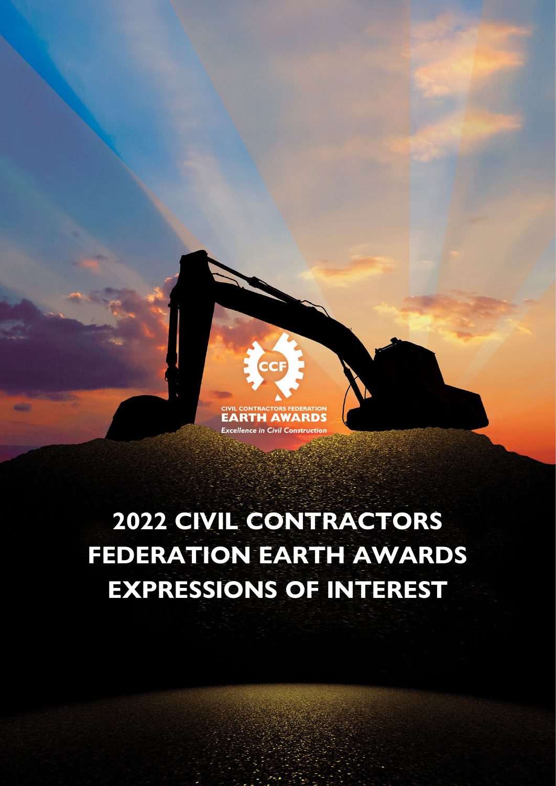

# **2022 CIVIL CONTRACTORS FEDERATION EARTH AWARDS EXPRESSIONS OF INTEREST**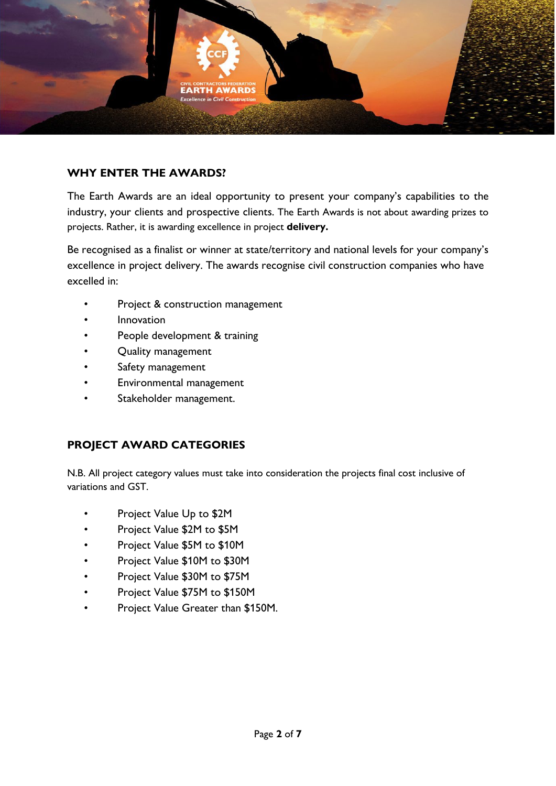

#### **WHY ENTER THE AWARDS?**

The Earth Awards are an ideal opportunity to present your company's capabilities to the industry, your clients and prospective clients. The Earth Awards is not about awarding prizes to projects. Rather, it is awarding excellence in project **delivery.**

Be recognised as a finalist or winner at state/territory and national levels for your company's excellence in project delivery. The awards recognise civil construction companies who have excelled in:

- Project & construction management
- Innovation
- People development & training
- Quality management
- Safety management
- Environmental management
- Stakeholder management.

### **PROJECT AWARD CATEGORIES**

N.B. All project category values must take into consideration the projects final cost inclusive of variations and GST.

- Project Value Up to \$2M
- Project Value \$2M to \$5M
- Project Value \$5M to \$10M
- Project Value \$10M to \$30M
- Project Value \$30M to \$75M
- Project Value \$75M to \$150M
- Project Value Greater than \$150M.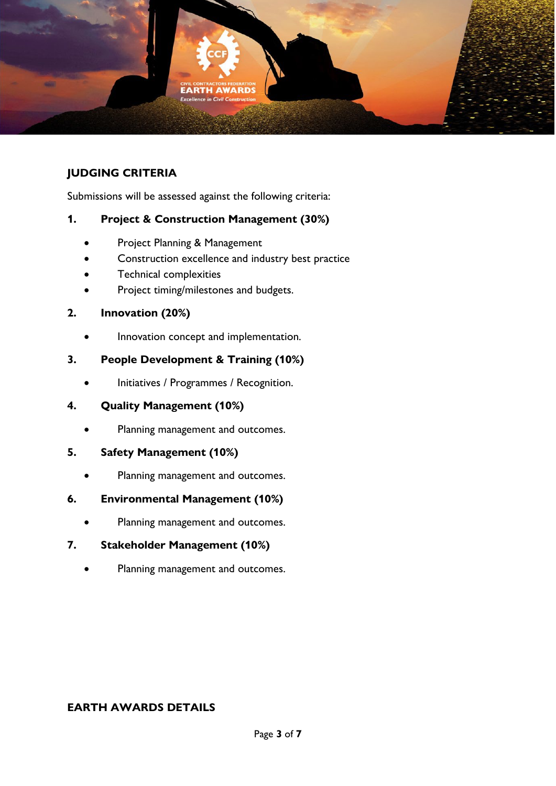

# **JUDGING CRITERIA**

Submissions will be assessed against the following criteria:

### **1. Project & Construction Management (30%)**

- Project Planning & Management
- Construction excellence and industry best practice
- Technical complexities
- Project timing/milestones and budgets.

#### **2. Innovation (20%)**

• Innovation concept and implementation.

### **3. People Development & Training (10%)**

• Initiatives / Programmes / Recognition.

### **4. Quality Management (10%)**

Planning management and outcomes.

#### **5. Safety Management (10%)**

Planning management and outcomes.

#### **6. Environmental Management (10%)**

Planning management and outcomes.

### **7. Stakeholder Management (10%)**

Planning management and outcomes.

#### **EARTH AWARDS DETAILS**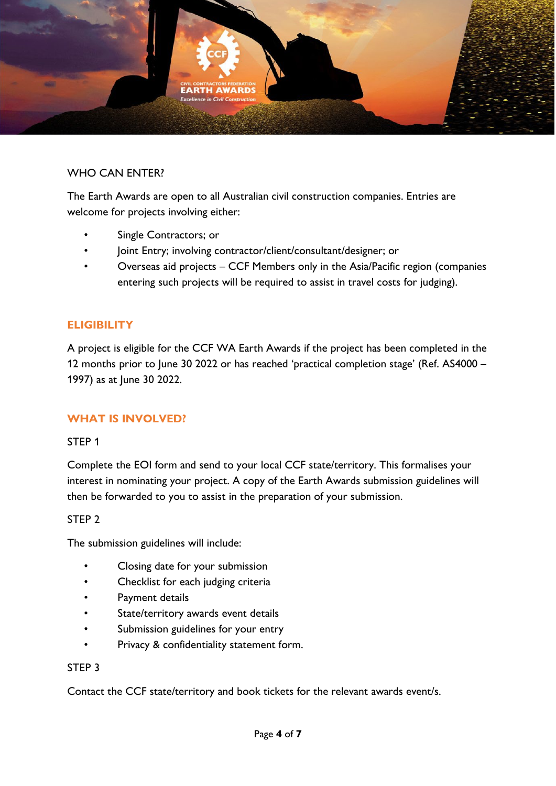

#### WHO CAN ENTER?

The Earth Awards are open to all Australian civil construction companies. Entries are welcome for projects involving either:

- Single Contractors; or
- Joint Entry; involving contractor/client/consultant/designer; or
- Overseas aid projects CCF Members only in the Asia/Pacific region (companies entering such projects will be required to assist in travel costs for judging).

#### **ELIGIBILITY**

A project is eligible for the CCF WA Earth Awards if the project has been completed in the 12 months prior to June 30 2022 or has reached 'practical completion stage' (Ref. AS4000 – 1997) as at June 30 2022.

#### **WHAT IS INVOLVED?**

#### STEP 1

Complete the EOI form and send to your local CCF state/territory. This formalises your interest in nominating your project. A copy of the Earth Awards submission guidelines will then be forwarded to you to assist in the preparation of your submission.

#### STEP 2

The submission guidelines will include:

- Closing date for your submission
- Checklist for each judging criteria
- Payment details
- State/territory awards event details
- Submission guidelines for your entry
- Privacy & confidentiality statement form.

#### STEP 3

Contact the CCF state/territory and book tickets for the relevant awards event/s.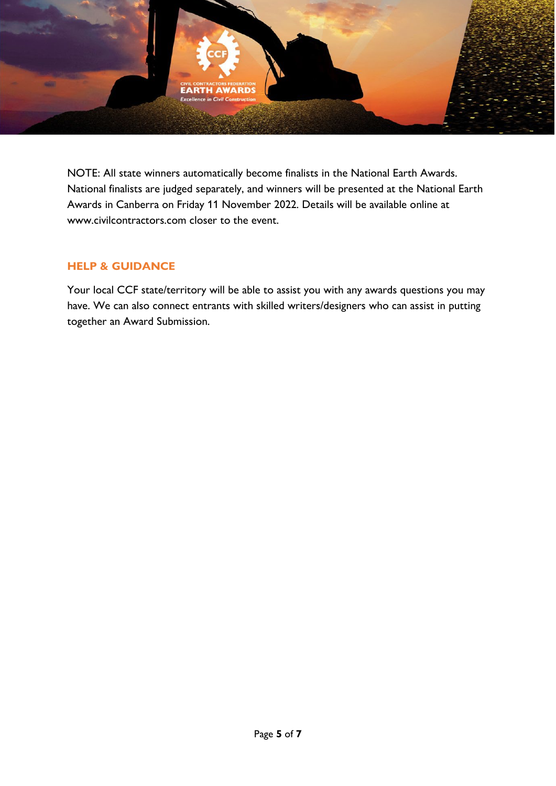

NOTE: All state winners automatically become finalists in the National Earth Awards. National finalists are judged separately, and winners will be presented at the National Earth Awards in Canberra on Friday 11 November 2022. Details will be available online at www.civilcontractors.com closer to the event.

### **HELP & GUIDANCE**

Your local CCF state/territory will be able to assist you with any awards questions you may have. We can also connect entrants with skilled writers/designers who can assist in putting together an Award Submission.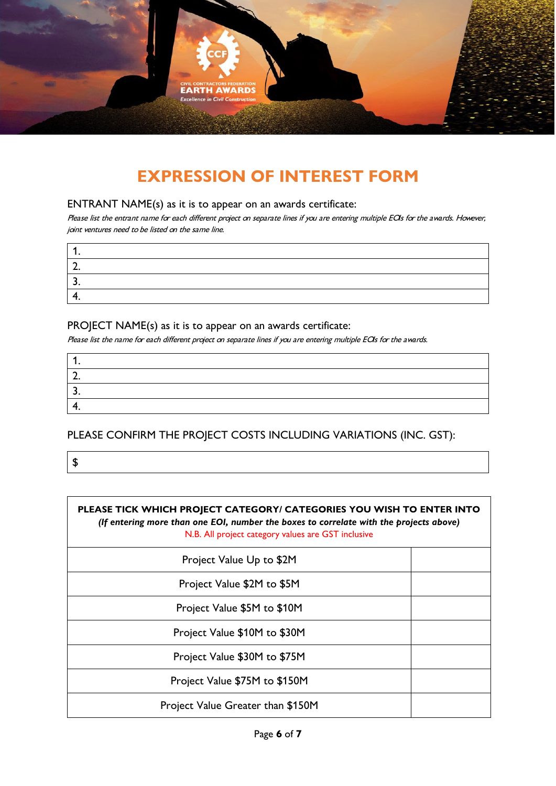

# **EXPRESSION OF INTEREST FORM**

#### ENTRANT NAME(s) as it is to appear on an awards certificate:

Please list the entrant name for each different project on separate lines if you are entering multiple EOIs for the awards. However, joint ventures need to be listed on the same line.

#### PROJECT NAME(s) as it is to appear on an awards certificate:

Please list the name for each different project on separate lines if you are entering multiple EOIs for the awards.

| - |  |
|---|--|
|   |  |

PLEASE CONFIRM THE PROJECT COSTS INCLUDING VARIATIONS (INC. GST):

\$

| PLEASE TICK WHICH PROJECT CATEGORY/ CATEGORIES YOU WISH TO ENTER INTO<br>(If entering more than one EOI, number the boxes to correlate with the projects above)<br>N.B. All project category values are GST inclusive |  |  |
|-----------------------------------------------------------------------------------------------------------------------------------------------------------------------------------------------------------------------|--|--|
| Project Value Up to \$2M                                                                                                                                                                                              |  |  |
| Project Value \$2M to \$5M                                                                                                                                                                                            |  |  |
| Project Value \$5M to \$10M                                                                                                                                                                                           |  |  |
| Project Value \$10M to \$30M                                                                                                                                                                                          |  |  |
| Project Value \$30M to \$75M                                                                                                                                                                                          |  |  |
| Project Value \$75M to \$150M                                                                                                                                                                                         |  |  |
| Project Value Greater than \$150M                                                                                                                                                                                     |  |  |